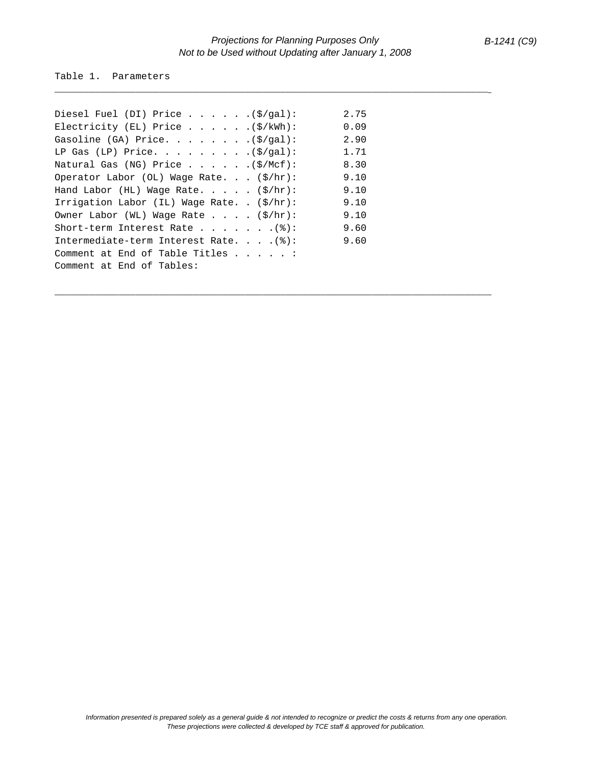\_\_\_\_\_\_\_\_\_\_\_\_\_\_\_\_\_\_\_\_\_\_\_\_\_\_\_\_\_\_\_\_\_\_\_\_\_\_\_\_\_\_\_\_\_\_\_\_\_\_\_\_\_\_\_\_\_\_\_\_\_\_\_\_\_\_\_\_\_\_\_\_\_\_\_\_

\_\_\_\_\_\_\_\_\_\_\_\_\_\_\_\_\_\_\_\_\_\_\_\_\_\_\_\_\_\_\_\_\_\_\_\_\_\_\_\_\_\_\_\_\_\_\_\_\_\_\_\_\_\_\_\_\_\_\_\_\_\_\_\_\_\_\_\_\_\_\_\_\_\_\_\_

Table 1. Parameters

| Diesel Fuel (DI) Price $(\frac{\xi}{gal})$ :            | 2.75 |
|---------------------------------------------------------|------|
| Electricity (EL) Price $(\frac{5}{kWh})$ :              | 0.09 |
| Gasoline (GA) Price. (\$/gal):                          | 2.90 |
| LP Gas (LP) Price. $(5/gal):$                           | 1.71 |
| Natural Gas (NG) Price (\$/Mcf):                        | 8.30 |
| Operator Labor (OL) Wage Rate. $(\frac{\xi}{hr})$ :     | 9.10 |
| Hand Labor (HL) Wage Rate. $(\frac{\xi}{hr})$ :         | 9.10 |
| Irrigation Labor (IL) Wage Rate. . $(\frac{1}{2})$ hr): | 9.10 |
| Owner Labor (WL) Wage Rate $\ldots$ . (\$/hr):          | 9.10 |
| Short-term Interest Rate (%):                           | 9.60 |
| Intermediate-term Interest Rate. $(%)$ :                | 9.60 |
| Comment at End of Table Titles $\ldots$ :               |      |
| Comment at End of Tables:                               |      |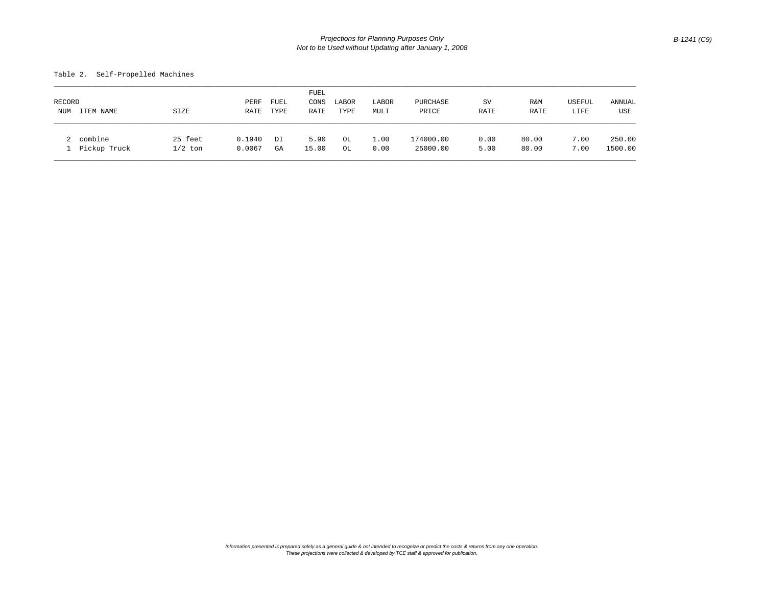## Table 2. Self-Propelled Machines

|        |              |           |        |      | FUEL  |       |       |           |      |       |        |         |
|--------|--------------|-----------|--------|------|-------|-------|-------|-----------|------|-------|--------|---------|
| RECORD |              |           | PERF   | FUEL | CONS  | LABOR | LABOR | PURCHASE  | SV   | R&M   | USEFUL | ANNUAL  |
| NUM    | ITEM NAME    | SIZE      | RATE   | TYPE | RATE  | TYPE  | MULT  | PRICE     | RATE | RATE  | LIFE   | USE     |
| 2      | combine      | 25 feet   | 0.1940 | DI   | 5.90  | OL    | 1.00  | 174000.00 | 0.00 | 80.00 | 7.00   | 250.00  |
|        | Pickup Truck | $1/2$ ton | 0.0067 | GA   | 15.00 | OL    | 0.00  | 25000.00  | 5.00 | 80.00 | 7.00   | 1500.00 |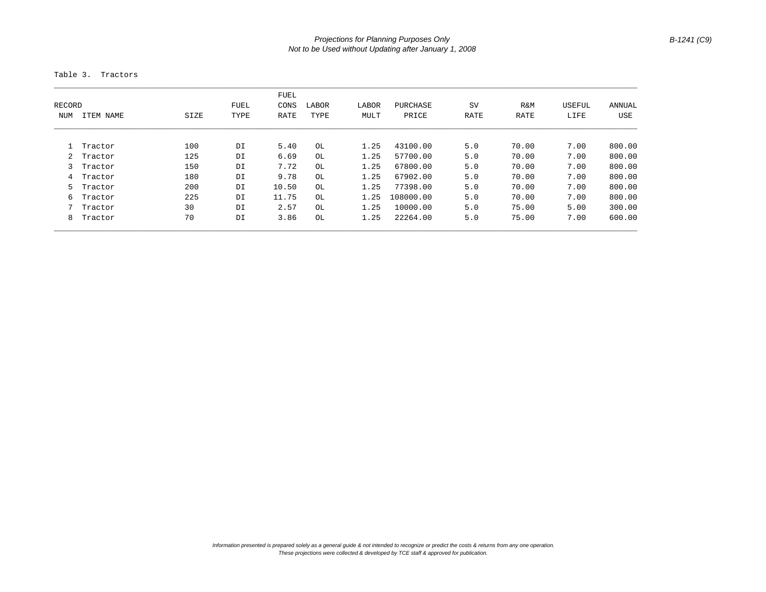Table 3. Tractors

|                       |           |      |      | FUEL  |       |          |           |      |        |        |            |
|-----------------------|-----------|------|------|-------|-------|----------|-----------|------|--------|--------|------------|
| <b>FUEL</b><br>RECORD |           |      | CONS | LABOR | LABOR | PURCHASE | SV        | R&M  | USEFUL | ANNUAL |            |
| <b>NUM</b>            | ITEM NAME | SIZE | TYPE | RATE  | TYPE  | MULT     | PRICE     | RATE | RATE   | LIFE   | <b>USE</b> |
|                       |           |      |      |       |       |          |           |      |        |        |            |
|                       | Tractor   | 100  | DI   | 5.40  | OL    | 1.25     | 43100.00  | 5.0  | 70.00  | 7.00   | 800.00     |
| 2                     | Tractor   | 125  | DI   | 6.69  | OL    | 1.25     | 57700.00  | 5.0  | 70.00  | 7.00   | 800.00     |
| 3                     | Tractor   | 150  | DI   | 7.72  | OL    | 1.25     | 67800.00  | 5.0  | 70.00  | 7.00   | 800.00     |
| 4                     | Tractor   | 180  | DI   | 9.78  | OL    | 1.25     | 67902.00  | 5.0  | 70.00  | 7.00   | 800.00     |
| 5.                    | Tractor   | 200  | DI   | 10.50 | OL    | 1.25     | 77398.00  | 5.0  | 70.00  | 7.00   | 800.00     |
| 6                     | Tractor   | 225  | DI   | 11.75 | OL    | 1.25     | 108000.00 | 5.0  | 70.00  | 7.00   | 800.00     |
|                       | Tractor   | 30   | DI   | 2.57  | OL    | 1.25     | 10000.00  | 5.0  | 75.00  | 5.00   | 300.00     |
| 8                     | Tractor   | 70   | DI   | 3.86  | OL    | 1.25     | 22264.00  | 5.0  | 75.00  | 7.00   | 600.00     |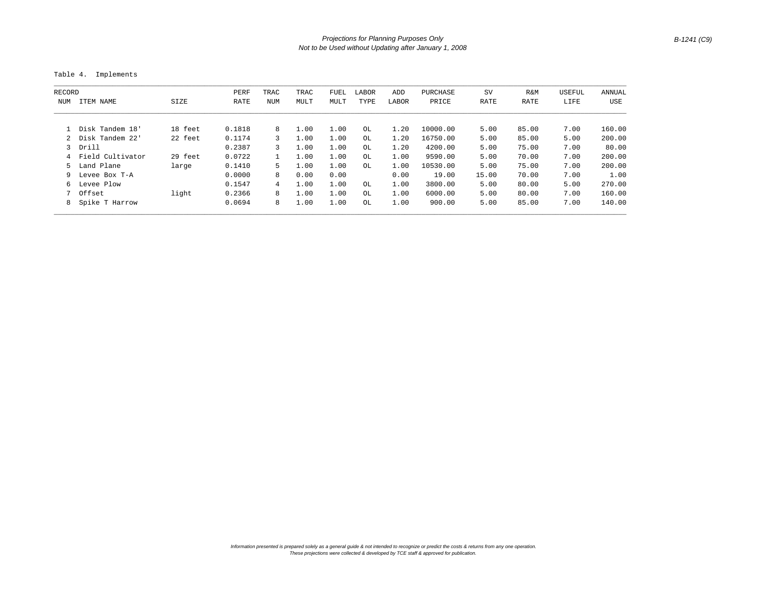Table 4. Implements

| RECORD |                    |         | PERF   | TRAC           | TRAC | FUEL | LABOR | ADD   | PURCHASE | SV    | R&M   | USEFUL | ANNUAL |
|--------|--------------------|---------|--------|----------------|------|------|-------|-------|----------|-------|-------|--------|--------|
| NUM    | ITEM NAME          | SIZE    | RATE   | NUM            | MULT | MULT | TYPE  | LABOR | PRICE    | RATE  | RATE  | LIFE   | USE    |
|        | 1 Disk Tandem 18'  | 18 feet | 0.1818 | 8              | 1.00 | 1.00 | OL    | 1.20  | 10000.00 | 5.00  | 85.00 | 7.00   | 160.00 |
|        | 2 Disk Tandem 22'  | 22 feet | 0.1174 | 3              | 1.00 | 1.00 | OL    | 1.20  | 16750.00 | 5.00  | 85.00 | 5.00   | 200.00 |
|        | 3 Drill            |         | 0.2387 | 3              | 1.00 | 1.00 | OL    | 1.20  | 4200.00  | 5.00  | 75.00 | 7.00   | 80.00  |
|        | 4 Field Cultivator | 29 feet | 0.0722 |                | 1.00 | 1.00 | OL.   | 1.00  | 9590.00  | 5.00  | 70.00 | 7.00   | 200.00 |
|        | 5 Land Plane       | large   | 0.1410 | 5.             | 1.00 | 1.00 | OL.   | 1.00  | 10530.00 | 5.00  | 75.00 | 7.00   | 200.00 |
| 9.     | Levee Box T-A      |         | 0.0000 | 8              | 0.00 | 0.00 |       | 0.00  | 19.00    | 15.00 | 70.00 | 7.00   | 1.00   |
| ნ.     | Levee Plow         |         | 0.1547 | $\overline{4}$ | 1.00 | 1.00 | OL    | 1.00  | 3800.00  | 5.00  | 80.00 | 5.00   | 270.00 |
|        | 7 Offset           | light   | 0.2366 | 8              | 1.00 | 1.00 | OL    | 1.00  | 6000.00  | 5.00  | 80.00 | 7.00   | 160.00 |
|        | 8 Spike T Harrow   |         | 0.0694 | 8              | 1.00 | 1.00 | OL    | 1.00  | 900.00   | 5.00  | 85.00 | 7.00   | 140.00 |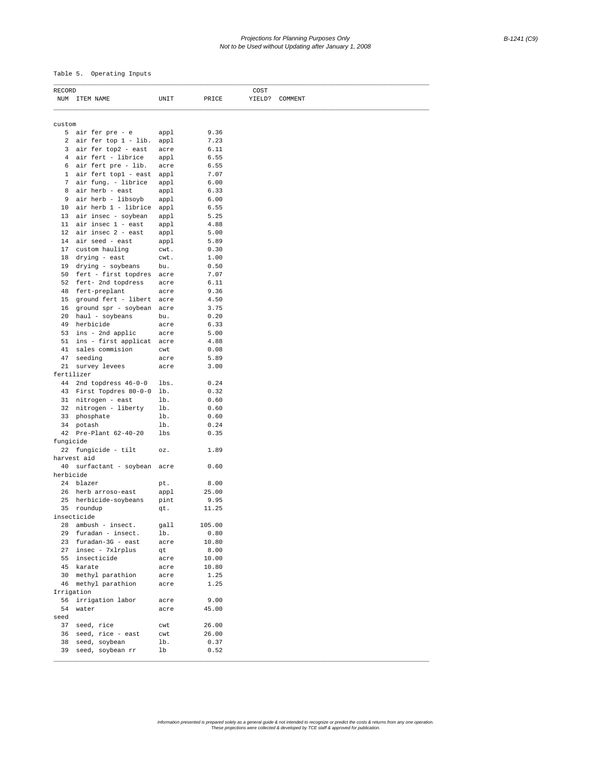## *Projections for Planning Purposes Only B-1241 (C9) Not to be Used without Updating after January 1, 2008*

Table 5. Operating Inputs

| RECORD     |                              |      |        | COST |                |  |
|------------|------------------------------|------|--------|------|----------------|--|
|            | NUM ITEM NAME                | UNIT | PRICE  |      | YIELD? COMMENT |  |
|            |                              |      |        |      |                |  |
| custom     |                              |      |        |      |                |  |
|            | 5 air fer pre - e            | appl | 9.36   |      |                |  |
|            | 2 air fer top 1 - lib.       | appl | 7.23   |      |                |  |
|            | 3 air fer top2 - east        | acre | 6.11   |      |                |  |
|            | 4 air fert - librice         | appl | 6.55   |      |                |  |
|            | 6 air fert pre - lib.        | acre | 6.55   |      |                |  |
|            | 1 air fert top1 - east       | appl | 7.07   |      |                |  |
| 7          | air fung. - librice          | appl | 6.00   |      |                |  |
| 8          | air herb - east              | appl | 6.33   |      |                |  |
| 9          | air herb - libsoyb           | appl | 6.00   |      |                |  |
|            | 10 air herb 1 - librice appl |      | 6.55   |      |                |  |
|            | 13 air insec - soybean       | appl | 5.25   |      |                |  |
|            | 11 $air$ insec 1 - east      | appl | 4.88   |      |                |  |
|            | 12 air insec 2 - east        | appl | 5.00   |      |                |  |
|            | 14 air seed - east           | appl | 5.89   |      |                |  |
|            | 17 custom hauling            | cwt. | 0.30   |      |                |  |
|            | 18 drying - east             | cwt. | 1.00   |      |                |  |
|            | 19 drying - soybeans         | bu.  | 0.50   |      |                |  |
|            | 50 fert - first topdres      | acre | 7.07   |      |                |  |
|            | 52 fert- 2nd topdress        | acre | 6.11   |      |                |  |
|            | 48 fert-preplant             | acre | 9.36   |      |                |  |
|            | 15 ground fert - libert      | acre | 4.50   |      |                |  |
|            | 16 ground spr - soybean      | acre | 3.75   |      |                |  |
|            | 20 haul - soybeans           | bu.  | 0.20   |      |                |  |
|            | 49 herbicide                 | acre | 6.33   |      |                |  |
|            | 53 ins - 2nd applic          | acre | 5.00   |      |                |  |
|            | 51 ins - first applicat      | acre | 4.88   |      |                |  |
|            | 41 sales commision           | cwt  | 0.08   |      |                |  |
| 47         | seeding                      | acre | 5.89   |      |                |  |
|            | 21 survey levees             | acre | 3.00   |      |                |  |
| fertilizer |                              |      |        |      |                |  |
|            | 44 2nd topdress 46-0-0       | lbs. | 0.24   |      |                |  |
|            | 43 First Topdres 80-0-0      | lb.  | 0.32   |      |                |  |
|            | 31 nitrogen - east           | lb.  | 0.60   |      |                |  |
|            | 32 nitrogen - liberty        | lb.  | 0.60   |      |                |  |
|            | 33 phosphate                 | lb.  | 0.60   |      |                |  |
|            | 34 potash                    | lb.  | 0.24   |      |                |  |
|            | 42 Pre-Plant 62-40-20        | lbs  | 0.35   |      |                |  |
| fungicide  |                              |      |        |      |                |  |
|            | 22 fungicide - tilt          | oz.  | 1.89   |      |                |  |
|            | harvest aid                  |      |        |      |                |  |
|            | 40 surfactant - soybean acre |      | 0.60   |      |                |  |
| herbicide  |                              |      |        |      |                |  |
|            | 24 blazer                    | pt.  | 8.00   |      |                |  |
|            | 26 herb arroso-east          | appl | 25.00  |      |                |  |
|            | 25 herbicide-soybeans        | pint | 9.95   |      |                |  |
|            | 35 roundup                   | qt.  | 11.25  |      |                |  |
|            | insecticide                  |      |        |      |                |  |
|            | 28 ambush - insect.          | gall | 105.00 |      |                |  |
| 29         | furadan - insect.            | lb.  | 0.80   |      |                |  |
|            | 23 furadan-3G - east         | acre | 10.80  |      |                |  |
|            | 27 insec - 7xlrplus          | qt   | 8.00   |      |                |  |
|            | 55 insecticide               | acre | 10.00  |      |                |  |
|            | 45 karate                    | acre | 10.80  |      |                |  |
| 30         | methyl parathion             | acre | 1.25   |      |                |  |
|            | 46 methyl parathion          | acre | 1.25   |      |                |  |
|            | Irrigation                   |      |        |      |                |  |
| 56         | irrigation labor             | acre | 9.00   |      |                |  |
| 54         | water                        | acre | 45.00  |      |                |  |
| seed       |                              |      |        |      |                |  |
|            | 37 seed, rice                | cwt  | 26.00  |      |                |  |
| 36         | seed, rice - east            | cwt  | 26.00  |      |                |  |
| 38         | seed, soybean                | lb.  | 0.37   |      |                |  |
| 39         | seed, soybean rr             | lb   | 0.52   |      |                |  |
|            |                              |      |        |      |                |  |

Information presented is prepared solely as a general guide & not intended to recognize or predict the costs & returns from any one operation.<br>These projections were collected & developed by TCE staff & approved for public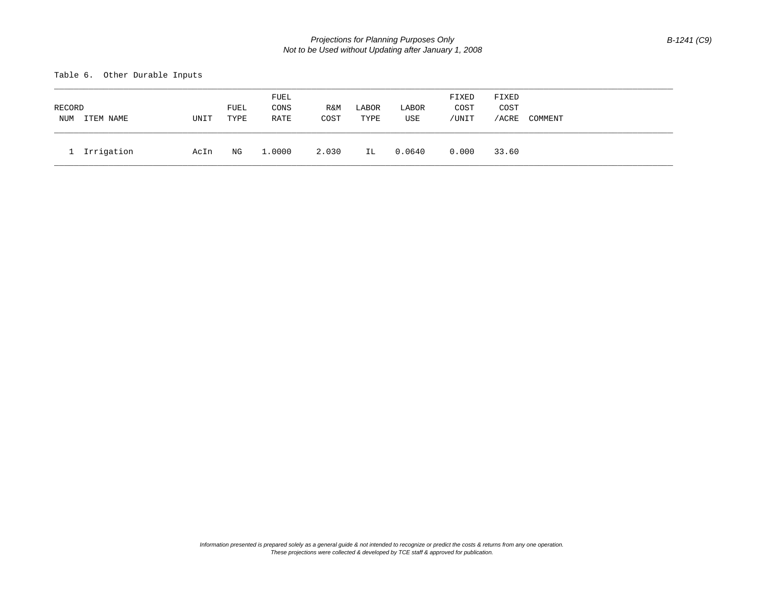Table 6. Other Durable Inputs

| RECORD<br>NUM | ITEM NAME  | UNIT | FUEL<br>TYPE | FUEL<br>CONS<br>RATE | R&M<br>COST | LABOR<br>TYPE | LABOR<br>USE | FIXED<br>COST<br>/UNIT | FIXED<br>COST<br>/ACRE | COMMENT |
|---------------|------------|------|--------------|----------------------|-------------|---------------|--------------|------------------------|------------------------|---------|
|               | Irrigation | AcIn | ΝG           | 1,0000               | 2.030       | IL            | 0.0640       | 0.000                  | 33.60                  |         |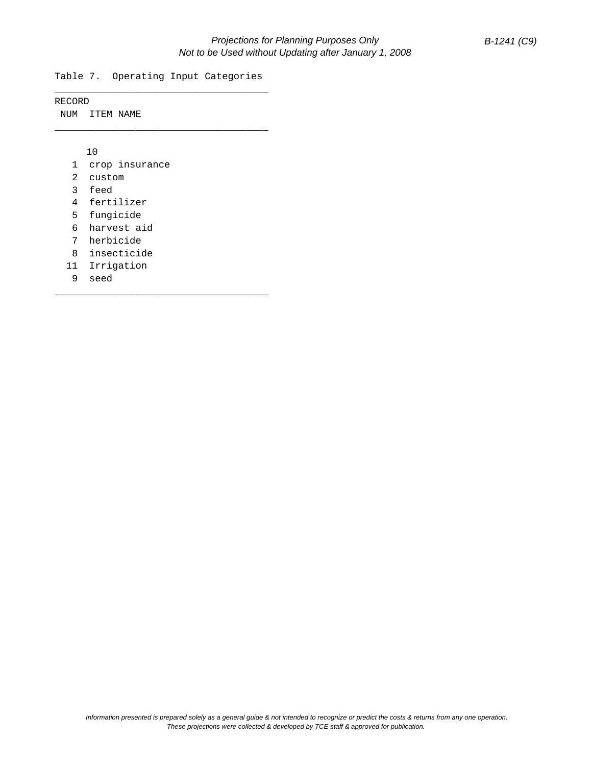Table 7. Operating Input Categories \_\_\_\_\_\_\_\_\_\_\_\_\_\_\_\_\_\_\_\_\_\_\_\_\_\_\_\_\_\_\_\_\_\_\_\_\_

\_\_\_\_\_\_\_\_\_\_\_\_\_\_\_\_\_\_\_\_\_\_\_\_\_\_\_\_\_\_\_\_\_\_\_\_\_

\_\_\_\_\_\_\_\_\_\_\_\_\_\_\_\_\_\_\_\_\_\_\_\_\_\_\_\_\_\_\_\_\_\_\_\_\_

RECORD

NUM ITEM NAME

10

- 1 crop insurance
- 2 custom
- 3 feed
- 4 fertilizer
- 5 fungicide
- 6 harvest aid
- 7 herbicide
- 8 insecticide
- 11 Irrigation
- 9 seed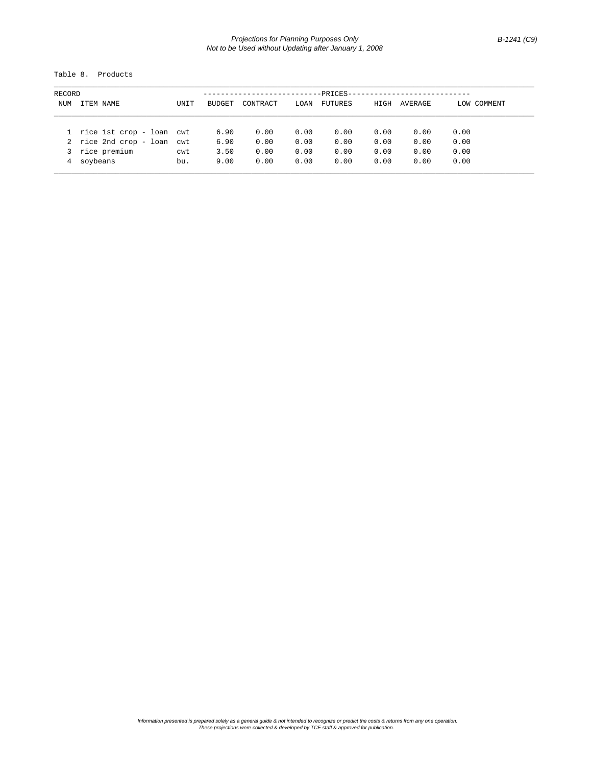## *Projections for Planning Purposes Only B-1241 (C9) Not to be Used without Updating after January 1, 2008*

Table 8. Products

| RECORD     |                          |      | -PRICES- |          |      |                |      |         |             |  |  |
|------------|--------------------------|------|----------|----------|------|----------------|------|---------|-------------|--|--|
| <b>NUM</b> | ITEM NAME                | UNIT | BUDGET   | CONTRACT | LOAN | <b>FUTURES</b> | HIGH | AVERAGE | LOW COMMENT |  |  |
|            | rice 1st crop - loan cwt |      | 6.90     | 0.00     | 0.00 | 0.00           | 0.00 | 0.00    | 0.00        |  |  |
|            | 2 rice 2nd crop - loan   | cwt  | 6.90     | 0.00     | 0.00 | 0.00           | 0.00 | 0.00    | 0.00        |  |  |
| 3          | rice premium             | cwt  | 3.50     | 0.00     | 0.00 | 0.00           | 0.00 | 0.00    | 0.00        |  |  |
| 4          | soybeans                 | bu.  | 9.00     | 0.00     | 0.00 | 0.00           | 0.00 | 0.00    | 0.00        |  |  |